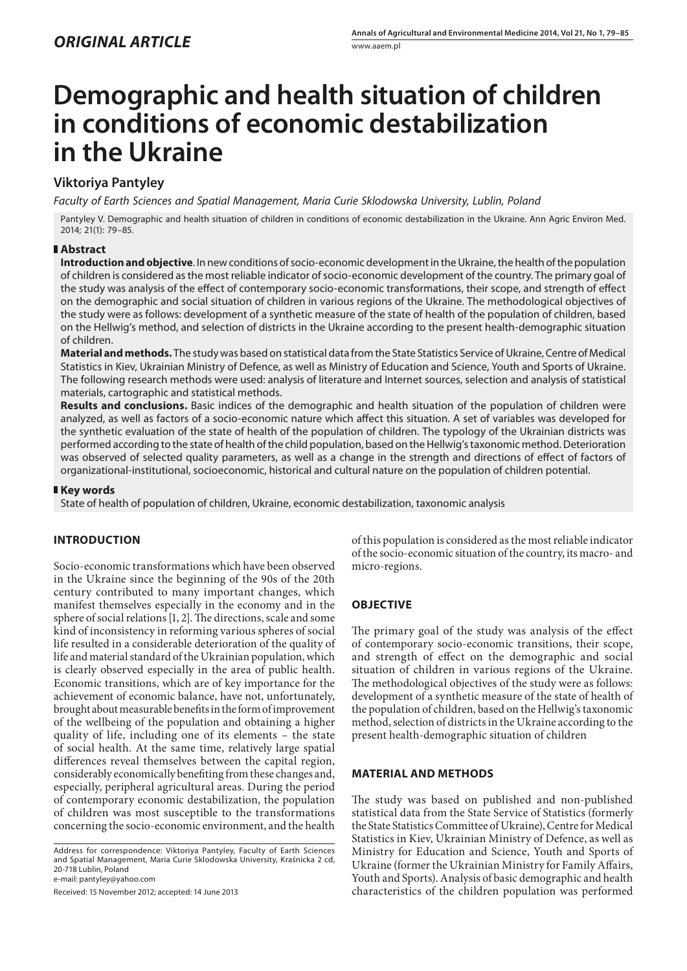# **Demographic and health situation of children in conditions of economic destabilization in the Ukraine**

## **Viktoriya Pantyley**

*Faculty of Earth Sciences and Spatial Management, Maria Curie Sklodowska University, Lublin, Poland*

Pantyley V. Demographic and health situation of children in conditions of economic destabilization in the Ukraine. Ann Agric Environ Med. 2014; 21(1): 79–85.

### **Abstract**

**Introduction and objective**. In new conditions of socio-economic development in the Ukraine, the health of the population of children is considered as the most reliable indicator of socio-economic development of the country. The primary goal of the study was analysis of the effect of contemporary socio-economic transformations, their scope, and strength of effect on the demographic and social situation of children in various regions of the Ukraine. The methodological objectives of the study were as follows: development of a synthetic measure of the state of health of the population of children, based on the Hellwig's method, and selection of districts in the Ukraine according to the present health-demographic situation of children.

**Material and methods.** The study was based on statistical data from the State Statistics Service of Ukraine, Centre of Medical Statistics in Kiev, Ukrainian Ministry of Defence, as well as Ministry of Education and Science, Youth and Sports of Ukraine. The following research methods were used: analysis of literature and Internet sources, selection and analysis of statistical materials, cartographic and statistical methods.

**Results and conclusions.** Basic indices of the demographic and health situation of the population of children were analyzed, as well as factors of a socio-economic nature which affect this situation. A set of variables was developed for the synthetic evaluation of the state of health of the population of children. The typology of the Ukrainian districts was performed according to the state of health of the child population, based on the Hellwig's taxonomic method. Deterioration was observed of selected quality parameters, as well as a change in the strength and directions of effect of factors of organizational-institutional, socioeconomic, historical and cultural nature on the population of children potential.

### **Key words**

State of health of population of children, Ukraine, economic destabilization, taxonomic analysis

## **INTRODUCTION**

Socio-economic transformations which have been observed in the Ukraine since the beginning of the 90s of the 20th century contributed to many important changes, which manifest themselves especially in the economy and in the sphere of social relations [1, 2]. The directions, scale and some kind of inconsistency in reforming various spheres of social life resulted in a considerable deterioration of the quality of life and material standard of the Ukrainian population, which is clearly observed especially in the area of public health. Economic transitions, which are of key importance for the achievement of economic balance, have not, unfortunately, brought about measurable benefits in the form of improvement of the wellbeing of the population and obtaining a higher quality of life, including one of its elements – the state of social health. At the same time, relatively large spatial differences reveal themselves between the capital region, considerably economically benefiting from these changes and, especially, peripheral agricultural areas. During the period of contemporary economic destabilization, the population of children was most susceptible to the transformations concerning the socio-economic environment, and the health

Address for correspondence: Viktoriya Pantyley, Faculty of Earth Sciences and Spatial Management, Maria Curie Sklodowska University, Kraśnicka 2 cd, 20-718 Lublin, Poland

e-mail: pantyley@yahoo.com

Received: 15 November 2012; accepted: 14 June 2013

of this population is considered as the most reliable indicator of the socio-economic situation of the country, its macro- and micro-regions.

## **OBJECTIVE**

The primary goal of the study was analysis of the effect of contemporary socio-economic transitions, their scope, and strength of effect on the demographic and social situation of children in various regions of the Ukraine. The methodological objectives of the study were as follows: development of a synthetic measure of the state of health of the population of children, based on the Hellwig's taxonomic method, selection of districts in the Ukraine according to the present health-demographic situation of children

#### **MATERIAL AND METHODS**

The study was based on published and non-published statistical data from the State Service of Statistics (formerly the State Statistics Committee of Ukraine), Centre for Medical Statistics in Kiev, Ukrainian Ministry of Defence, as well as Ministry for Education and Science, Youth and Sports of Ukraine (former the Ukrainian Ministry for Family Affairs, Youth and Sports). Analysis of basic demographic and health characteristics of the children population was performed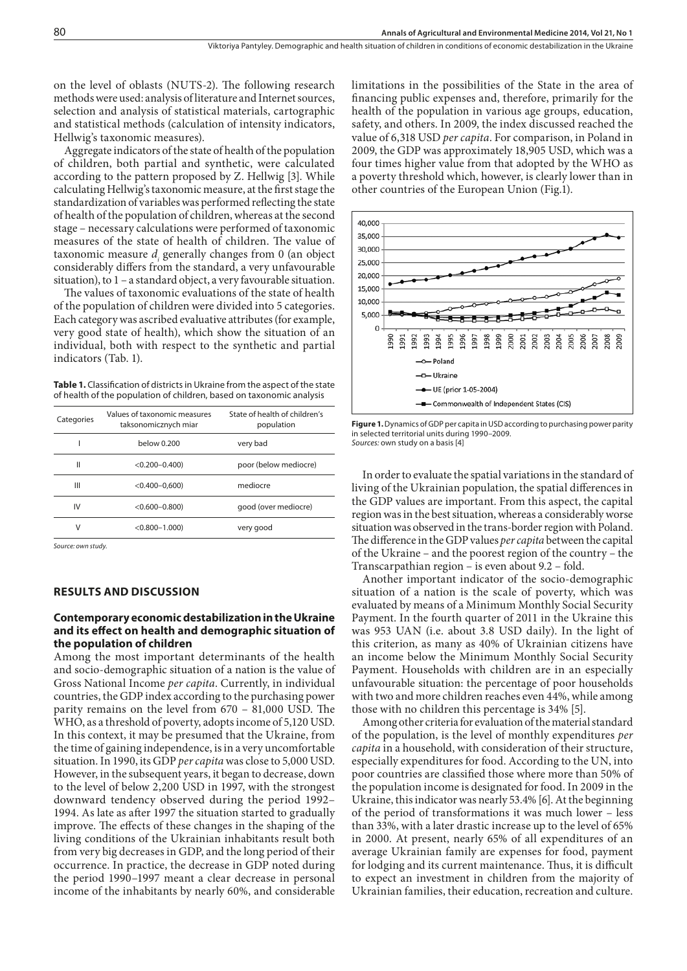on the level of oblasts (NUTS-2). The following research methods were used: analysis of literature and Internet sources, selection and analysis of statistical materials, cartographic and statistical methods (calculation of intensity indicators, Hellwig's taxonomic measures).

Aggregate indicators of the state of health of the population of children, both partial and synthetic, were calculated according to the pattern proposed by Z. Hellwig [3]. While calculating Hellwig's taxonomic measure, at the first stage the standardization of variables was performed reflecting the state of health of the population of children, whereas at the second stage – necessary calculations were performed of taxonomic measures of the state of health of children. The value of taxonomic measure *di* generally changes from 0 (an object considerably differs from the standard, a very unfavourable situation), to 1 – a standard object, a very favourable situation.

The values of taxonomic evaluations of the state of health of the population of children were divided into 5 categories. Each category was ascribed evaluative attributes (for example, very good state of health), which show the situation of an individual, both with respect to the synthetic and partial indicators (Tab. 1).

Table 1. Classification of districts in Ukraine from the aspect of the state of health of the population of children, based on taxonomic analysis

| Categories | Values of taxonomic measures<br>taksonomicznych miar | State of health of children's<br>population |  |  |
|------------|------------------------------------------------------|---------------------------------------------|--|--|
|            | below 0.200                                          | very bad                                    |  |  |
| Ш          | $< 0.200 - 0.400$                                    | poor (below mediocre)                       |  |  |
| Ш          | $<$ 0.400-0,600)                                     | mediocre                                    |  |  |
| IV         | $<$ 0.600 $-$ 0.800)                                 | good (over mediocre)                        |  |  |
| ٧          | $< 0.800 - 1.000$                                    | very good                                   |  |  |
|            |                                                      |                                             |  |  |

*Source: own study.*

#### **RESULTS AND DISCUSSION**

#### **Contemporary economic destabilization in the Ukraine and its effect on health and demographic situation of the population of children**

Among the most important determinants of the health and socio-demographic situation of a nation is the value of Gross National Income *per capita*. Currently, in individual countries, the GDP index according to the purchasing power parity remains on the level from 670 – 81,000 USD. The WHO, as a threshold of poverty, adopts income of 5,120 USD. In this context, it may be presumed that the Ukraine, from the time of gaining independence, is in a very uncomfortable situation. In 1990, its GDP *per capita* was close to 5,000 USD. However, in the subsequent years, it began to decrease, down to the level of below 2,200 USD in 1997, with the strongest downward tendency observed during the period 1992– 1994. As late as after 1997 the situation started to gradually improve. The effects of these changes in the shaping of the living conditions of the Ukrainian inhabitants result both from very big decreases in GDP, and the long period of their occurrence. In practice, the decrease in GDP noted during the period 1990–1997 meant a clear decrease in personal income of the inhabitants by nearly 60%, and considerable

limitations in the possibilities of the State in the area of financing public expenses and, therefore, primarily for the health of the population in various age groups, education, safety, and others. In 2009, the index discussed reached the value of 6,318 USD *per capita*. For comparison, in Poland in 2009, the GDP was approximately 18,905 USD, which was a four times higher value from that adopted by the WHO as a poverty threshold which, however, is clearly lower than in other countries of the European Union (Fig.1).



**Figure 1.** Dynamics of GDP per capita in USD according to purchasing power parity in selected territorial units during 1990–2009. *Sources:* own study on a basis [4]

In order to evaluate the spatial variations in the standard of living of the Ukrainian population, the spatial differences in the GDP values are important. From this aspect, the capital region was in the best situation, whereas a considerably worse situation was observed in the trans-border region with Poland. The difference in the GDP values *per capita* between the capital of the Ukraine – and the poorest region of the country – the Transcarpathian region – is even about 9.2 – fold.

Another important indicator of the socio-demographic situation of a nation is the scale of poverty, which was evaluated by means of a Minimum Monthly Social Security Payment. In the fourth quarter of 2011 in the Ukraine this was 953 UAN (i.e. about 3.8 USD daily). In the light of this criterion, as many as 40% of Ukrainian citizens have an income below the Minimum Monthly Social Security Payment. Households with children are in an especially unfavourable situation: the percentage of poor households with two and more children reaches even 44%, while among those with no children this percentage is 34% [5].

Among other criteria for evaluation of the material standard of the population, is the level of monthly expenditures *per capita* in a household, with consideration of their structure, especially expenditures for food. According to the UN, into poor countries are classified those where more than 50% of the population income is designated for food. In 2009 in the Ukraine, this indicator was nearly 53.4% [6]. At the beginning of the period of transformations it was much lower – less than 33%, with a later drastic increase up to the level of 65% in 2000. At present, nearly 65% of all expenditures of an average Ukrainian family are expenses for food, payment for lodging and its current maintenance. Thus, it is difficult to expect an investment in children from the majority of Ukrainian families, their education, recreation and culture.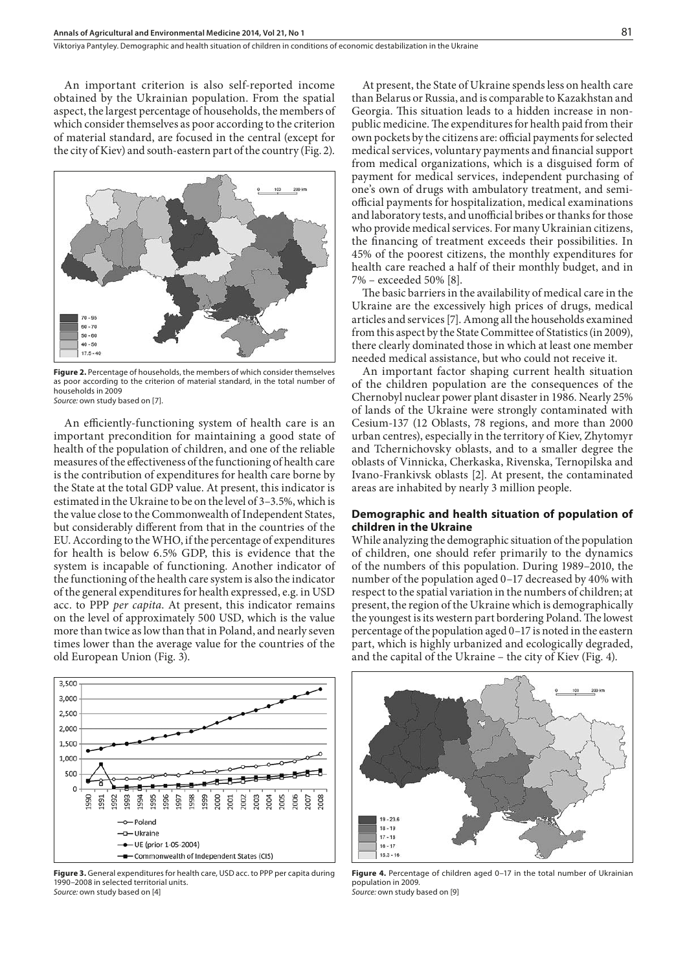An important criterion is also self-reported income obtained by the Ukrainian population. From the spatial aspect, the largest percentage of households, the members of which consider themselves as poor according to the criterion of material standard, are focused in the central (except for the city of Kiev) and south-eastern part of the country (Fig. 2).



**Figure 2.** Percentage of households, the members of which consider themselves as poor according to the criterion of material standard, in the total number of households in 2009 Source: own study based on [7].

An efficiently-functioning system of health care is an important precondition for maintaining a good state of health of the population of children, and one of the reliable measures of the effectiveness of the functioning of health care is the contribution of expenditures for health care borne by the State at the total GDP value. At present, this indicator is estimated in the Ukraine to be on the level of 3–3.5%, which is the value close to the Commonwealth of Independent States, but considerably different from that in the countries of the EU. According to the WHO, if the percentage of expenditures for health is below 6.5% GDP, this is evidence that the system is incapable of functioning. Another indicator of the functioning of the health care system is also the indicator of the general expenditures for health expressed, e.g. in USD acc. to PPP *per capita*. At present, this indicator remains on the level of approximately 500 USD, which is the value more than twice as low than that in Poland, and nearly seven times lower than the average value for the countries of the old European Union (Fig. 3).



**Figure 3.** General expenditures for health care, USD acc. to PPP per capita during 1990–2008 in selected territorial units. *Source:* own study based on [4]

At present, the State of Ukraine spends less on health care than Belarus or Russia, and is comparable to Kazakhstan and Georgia. This situation leads to a hidden increase in nonpublic medicine. The expenditures for health paid from their own pockets by the citizens are: official payments for selected medical services, voluntary payments and financial support from medical organizations, which is a disguised form of payment for medical services, independent purchasing of one's own of drugs with ambulatory treatment, and semiofficial payments for hospitalization, medical examinations and laboratory tests, and unofficial bribes or thanks for those who provide medical services. For many Ukrainian citizens, the financing of treatment exceeds their possibilities. In 45% of the poorest citizens, the monthly expenditures for health care reached a half of their monthly budget, and in 7% – exceeded 50% [8].

The basic barriers in the availability of medical care in the Ukraine are the excessively high prices of drugs, medical articles and services [7]. Among all the households examined from this aspect by the State Committee of Statistics (in 2009), there clearly dominated those in which at least one member needed medical assistance, but who could not receive it.

An important factor shaping current health situation of the children population are the consequences of the Chernobyl nuclear power plant disaster in 1986. Nearly 25% of lands of the Ukraine were strongly contaminated with Cesium-137 (12 Oblasts, 78 regions, and more than 2000 urban centres), especially in the territory of Kiev, Zhytomyr and Tchernichovsky oblasts, and to a smaller degree the oblasts of Vinnicka, Cherkaska, Rivenska, Ternopilska and Ivano-Frankivsk oblasts [2]. At present, the contaminated areas are inhabited by nearly 3 million people.

#### **Demographic and health situation of population of children in the Ukraine**

While analyzing the demographic situation of the population of children, one should refer primarily to the dynamics of the numbers of this population. During 1989–2010, the number of the population aged 0–17 decreased by 40% with respect to the spatial variation in the numbers of children; at present, the region of the Ukraine which is demographically the youngest is its western part bordering Poland. The lowest percentage of the population aged 0–17 is noted in the eastern part, which is highly urbanized and ecologically degraded, and the capital of the Ukraine – the city of Kiev (Fig. 4).



**Figure 4.** Percentage of children aged 0–17 in the total number of Ukrainian population in 2009. *Source:* own study based on [9]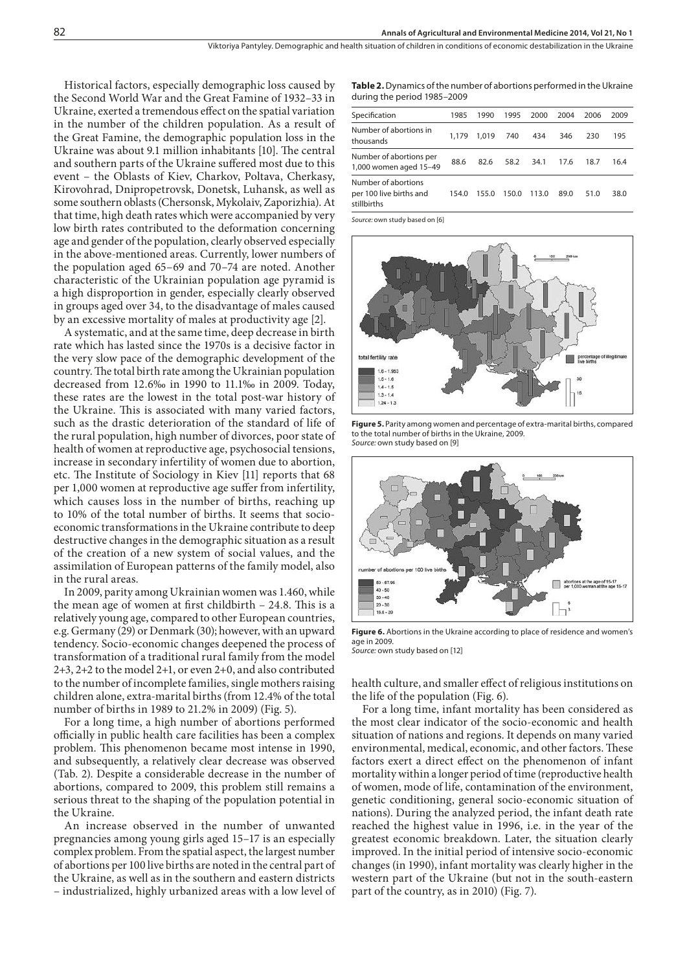Historical factors, especially demographic loss caused by the Second World War and the Great Famine of 1932–33 in Ukraine, exerted a tremendous effect on the spatial variation in the number of the children population. As a result of the Great Famine, the demographic population loss in the Ukraine was about 9.1 million inhabitants [10]. The central and southern parts of the Ukraine suffered most due to this event – the Oblasts of Kiev, Charkov, Poltava, Cherkasy, Kirovohrad, Dnipropetrovsk, Donetsk, Luhansk, as well as some southern oblasts (Chersonsk, Mykolaiv, Zaporizhia). At that time, high death rates which were accompanied by very low birth rates contributed to the deformation concerning age and gender of the population, clearly observed especially in the above-mentioned areas. Currently, lower numbers of the population aged 65–69 and 70–74 are noted. Another characteristic of the Ukrainian population age pyramid is a high disproportion in gender, especially clearly observed in groups aged over 34, to the disadvantage of males caused by an excessive mortality of males at productivity age [2].

A systematic, and at the same time, deep decrease in birth rate which has lasted since the 1970s is a decisive factor in the very slow pace of the demographic development of the country. The total birth rate among the Ukrainian population decreased from 12.6‰ in 1990 to 11.1‰ in 2009. Today, these rates are the lowest in the total post-war history of the Ukraine. This is associated with many varied factors, such as the drastic deterioration of the standard of life of the rural population, high number of divorces, poor state of health of women at reproductive age, psychosocial tensions, increase in secondary infertility of women due to abortion, etc. The Institute of Sociology in Kiev [11] reports that 68 per 1,000 women at reproductive age suffer from infertility, which causes loss in the number of births, reaching up to 10% of the total number of births. It seems that socioeconomic transformations in the Ukraine contribute to deep destructive changes in the demographic situation as a result of the creation of a new system of social values, and the assimilation of European patterns of the family model, also in the rural areas.

In 2009, parity among Ukrainian women was 1.460, while the mean age of women at first childbirth – 24.8. This is a relatively young age, compared to other European countries, e.g. Germany (29) or Denmark (30); however, with an upward tendency. Socio-economic changes deepened the process of transformation of a traditional rural family from the model 2+3, 2+2 to the model 2+1, or even 2+0, and also contributed to the number of incomplete families, single mothers raising children alone, extra-marital births (from 12.4% of the total number of births in 1989 to 21.2% in 2009) (Fig. 5).

For a long time, a high number of abortions performed officially in public health care facilities has been a complex problem. This phenomenon became most intense in 1990, and subsequently, a relatively clear decrease was observed (Tab. 2). Despite a considerable decrease in the number of abortions, compared to 2009, this problem still remains a serious threat to the shaping of the population potential in the Ukraine.

An increase observed in the number of unwanted pregnancies among young girls aged 15–17 is an especially complex problem. From the spatial aspect, the largest number of abortions per 100 live births are noted in the central part of the Ukraine, as well as in the southern and eastern districts – industrialized, highly urbanized areas with a low level of

**Table 2.** Dynamics of the number of abortions performed in the Ukraine during the period 1985–2009

| Specification                                                 | 1985  | 1990  | 1995  | 2000  | 2004 | 2006 | 2009 |
|---------------------------------------------------------------|-------|-------|-------|-------|------|------|------|
| Number of abortions in<br>thousands                           | 1.179 | 1.019 | 740   | 434   | 346  | 230  | 195  |
| Number of abortions per<br>1,000 women aged 15-49             | 88.6  | 82.6  | 58.2  | 34.1  | 17.6 | 18.7 | 16.4 |
| Number of abortions<br>per 100 live births and<br>stillbirths | 154.0 | 155.0 | 150.0 | 113.0 | 89.0 | 51.0 | 38.0 |

*Source:* own study based on [6]



**Figure 5.** Parity among women and percentage of extra-marital births, compared to the total number of births in the Ukraine, 2009. *Source:* own study based on [9]



**Figure 6.** Abortions in the Ukraine according to place of residence and women's age in 2009. *Source:* own study based on [12]

health culture, and smaller effect of religious institutions on the life of the population (Fig. 6).

For a long time, infant mortality has been considered as the most clear indicator of the socio-economic and health situation of nations and regions. It depends on many varied environmental, medical, economic, and other factors. These factors exert a direct effect on the phenomenon of infant mortality within a longer period of time (reproductive health of women, mode of life, contamination of the environment, genetic conditioning, general socio-economic situation of nations). During the analyzed period, the infant death rate reached the highest value in 1996, i.e. in the year of the greatest economic breakdown. Later, the situation clearly improved. In the initial period of intensive socio-economic changes (in 1990), infant mortality was clearly higher in the western part of the Ukraine (but not in the south-eastern part of the country, as in 2010) (Fig. 7).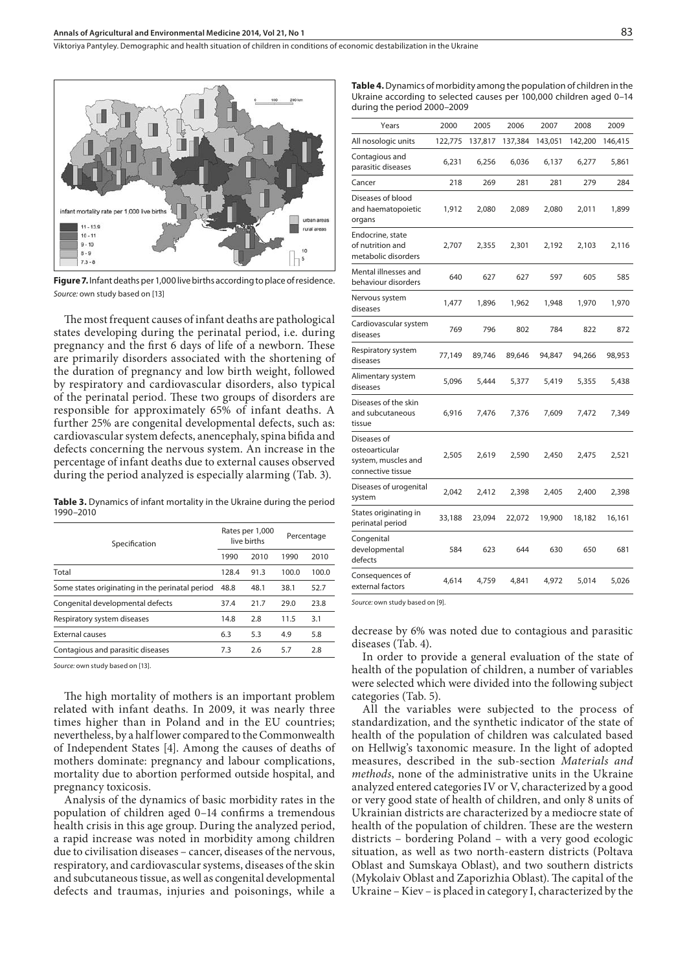Viktoriya Pantyley . Demographic and health situation of children in conditions of economic destabilization in the Ukraine



**Figure 7.** Infant deaths per 1,000 live births according to place of residence. *Source:* own study based on [13]

The most frequent causes of infant deaths are pathological states developing during the perinatal period, i.e. during pregnancy and the first 6 days of life of a newborn. These are primarily disorders associated with the shortening of the duration of pregnancy and low birth weight, followed by respiratory and cardiovascular disorders, also typical of the perinatal period. These two groups of disorders are responsible for approximately 65% of infant deaths. A further 25% are congenital developmental defects, such as: cardiovascular system defects, anencephaly, spina bifida and defects concerning the nervous system. An increase in the percentage of infant deaths due to external causes observed during the period analyzed is especially alarming (Tab. 3).

**Table 3.** Dynamics of infant mortality in the Ukraine during the period 1990–2010

| Specification                                   |       | Rates per 1,000<br>live births |       | Percentage |  |
|-------------------------------------------------|-------|--------------------------------|-------|------------|--|
|                                                 | 1990  | 2010                           | 1990  | 2010       |  |
| Total                                           | 128.4 | 91.3                           | 100.0 | 100.0      |  |
| Some states originating in the perinatal period | 48.8  | 48.1                           | 38.1  | 52.7       |  |
| Congenital developmental defects                | 37.4  | 21.7                           | 29.0  | 23.8       |  |
| Respiratory system diseases                     | 14.8  | 2.8                            | 11.5  | 3.1        |  |
| <b>External causes</b>                          | 6.3   | 5.3                            | 4.9   | 5.8        |  |
| Contagious and parasitic diseases               | 7.3   | 2.6                            | 5.7   | 2.8        |  |

*Source:* own study based on [13].

The high mortality of mothers is an important problem related with infant deaths. In 2009, it was nearly three times higher than in Poland and in the EU countries; nevertheless, by a half lower compared to the Commonwealth of Independent States [4]. Among the causes of deaths of mothers dominate: pregnancy and labour complications, mortality due to abortion performed outside hospital, and pregnancy toxicosis.

Analysis of the dynamics of basic morbidity rates in the population of children aged 0–14 confirms a tremendous health crisis in this age group. During the analyzed period, a rapid increase was noted in morbidity among children due to civilisation diseases – cancer, diseases of the nervous, respiratory, and cardiovascular systems, diseases of the skin and subcutaneous tissue, as well as congenital developmental defects and traumas, injuries and poisonings, while a

| <b>Table 4.</b> Dynamics of morbidity among the population of children in the |  |
|-------------------------------------------------------------------------------|--|
| Ukraine according to selected causes per 100,000 children aged 0-14           |  |
| during the period 2000-2009                                                   |  |

| Years                                                                     | 2000    | 2005    | 2006    | 2007    | 2008    | 2009    |
|---------------------------------------------------------------------------|---------|---------|---------|---------|---------|---------|
| All nosologic units                                                       | 122,775 | 137,817 | 137,384 | 143,051 | 142,200 | 146,415 |
| Contagious and<br>parasitic diseases                                      | 6,231   | 6,256   | 6,036   | 6,137   | 6,277   | 5,861   |
| Cancer                                                                    | 218     | 269     | 281     | 281     | 279     | 284     |
| Diseases of blood<br>and haematopoietic<br>organs                         | 1,912   | 2,080   | 2,089   | 2,080   | 2,011   | 1,899   |
| Endocrine, state<br>of nutrition and<br>metabolic disorders               | 2,707   | 2,355   | 2,301   | 2,192   | 2,103   | 2,116   |
| Mental illnesses and<br>behaviour disorders                               | 640     | 627     | 627     | 597     | 605     | 585     |
| Nervous system<br>diseases                                                | 1,477   | 1,896   | 1,962   | 1,948   | 1,970   | 1,970   |
| Cardiovascular system<br>diseases                                         | 769     | 796     | 802     | 784     | 822     | 872     |
| Respiratory system<br>diseases                                            | 77,149  | 89,746  | 89,646  | 94,847  | 94,266  | 98,953  |
| Alimentary system<br>diseases                                             | 5,096   | 5,444   | 5,377   | 5,419   | 5,355   | 5,438   |
| Diseases of the skin<br>and subcutaneous<br>tissue                        | 6,916   | 7,476   | 7,376   | 7,609   | 7,472   | 7,349   |
| Diseases of<br>osteoarticular<br>system, muscles and<br>connective tissue | 2,505   | 2,619   | 2,590   | 2,450   | 2,475   | 2,521   |
| Diseases of urogenital<br>system                                          | 2,042   | 2,412   | 2,398   | 2,405   | 2,400   | 2,398   |
| States originating in<br>perinatal period                                 | 33,188  | 23,094  | 22,072  | 19,900  | 18,182  | 16,161  |
| Congenital<br>developmental<br>defects                                    | 584     | 623     | 644     | 630     | 650     | 681     |
| Consequences of<br>external factors                                       | 4,614   | 4,759   | 4,841   | 4,972   | 5,014   | 5,026   |

*Source:* own study based on [9].

decrease by 6% was noted due to contagious and parasitic diseases (Tab. 4).

In order to provide a general evaluation of the state of health of the population of children, a number of variables were selected which were divided into the following subject categories (Tab. 5).

All the variables were subjected to the process of standardization, and the synthetic indicator of the state of health of the population of children was calculated based on Hellwig's taxonomic measure. In the light of adopted measures, described in the sub-section *Materials and methods*, none of the administrative units in the Ukraine analyzed entered categories IV or V, characterized by a good or very good state of health of children, and only 8 units of Ukrainian districts are characterized by a mediocre state of health of the population of children. These are the western districts – bordering Poland – with a very good ecologic situation, as well as two north-eastern districts (Poltava Oblast and Sumskaya Oblast), and two southern districts (Mykolaiv Oblast and Zaporizhia Oblast). The capital of the Ukraine – Kiev – is placed in category I, characterized by the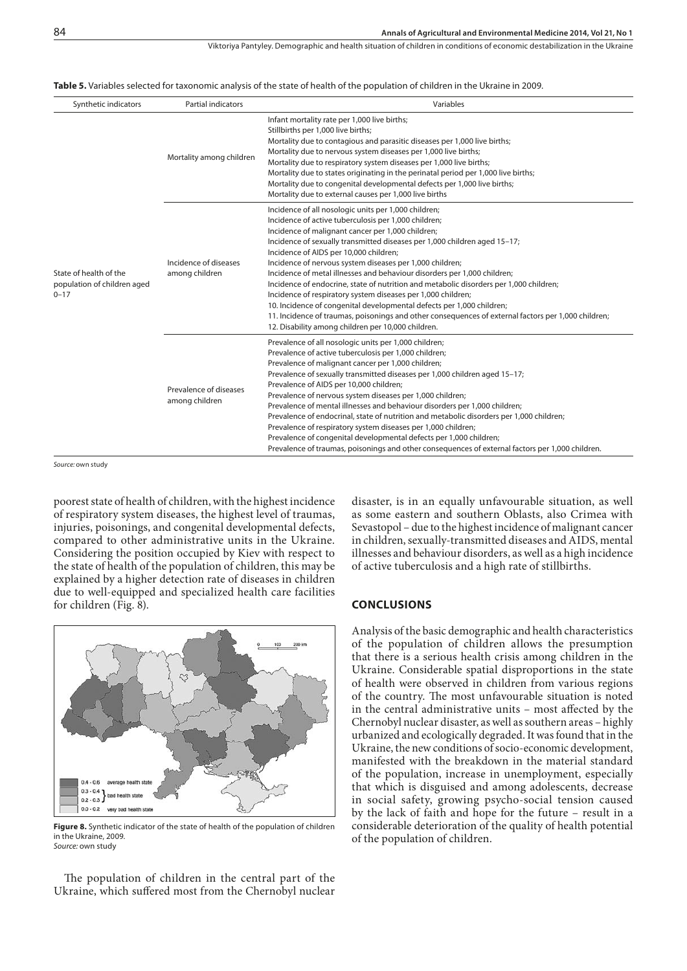Viktoriya Pantyley . Demographic and health situation of children in conditions of economic destabilization in the Ukraine

#### **Table 5.** Variables selected for taxonomic analysis of the state of health of the population of children in the Ukraine in 2009.

| Synthetic indicators                                              | Partial indicators                       | Variables                                                                                                                                                                                                                                                                                                                                                                                                                                                                                                                                                                                                                                                                                                                                                                                                                        |
|-------------------------------------------------------------------|------------------------------------------|----------------------------------------------------------------------------------------------------------------------------------------------------------------------------------------------------------------------------------------------------------------------------------------------------------------------------------------------------------------------------------------------------------------------------------------------------------------------------------------------------------------------------------------------------------------------------------------------------------------------------------------------------------------------------------------------------------------------------------------------------------------------------------------------------------------------------------|
| State of health of the<br>population of children aged<br>$0 - 17$ | Mortality among children                 | Infant mortality rate per 1,000 live births;<br>Stillbirths per 1,000 live births;<br>Mortality due to contagious and parasitic diseases per 1,000 live births;<br>Mortality due to nervous system diseases per 1,000 live births;<br>Mortality due to respiratory system diseases per 1,000 live births;<br>Mortality due to states originating in the perinatal period per 1,000 live births;<br>Mortality due to congenital developmental defects per 1,000 live births;<br>Mortality due to external causes per 1,000 live births                                                                                                                                                                                                                                                                                            |
|                                                                   | Incidence of diseases<br>among children  | Incidence of all nosologic units per 1,000 children;<br>Incidence of active tuberculosis per 1,000 children;<br>Incidence of malignant cancer per 1,000 children;<br>Incidence of sexually transmitted diseases per 1,000 children aged 15-17;<br>Incidence of AIDS per 10,000 children;<br>Incidence of nervous system diseases per 1,000 children;<br>Incidence of metal illnesses and behaviour disorders per 1,000 children;<br>Incidence of endocrine, state of nutrition and metabolic disorders per 1,000 children;<br>Incidence of respiratory system diseases per 1,000 children;<br>10. Incidence of congenital developmental defects per 1,000 children;<br>11. Incidence of traumas, poisonings and other consequences of external factors per 1,000 children;<br>12. Disability among children per 10,000 children. |
|                                                                   | Prevalence of diseases<br>among children | Prevalence of all nosologic units per 1,000 children;<br>Prevalence of active tuberculosis per 1,000 children;<br>Prevalence of malignant cancer per 1,000 children;<br>Prevalence of sexually transmitted diseases per 1,000 children aged 15-17;<br>Prevalence of AIDS per 10,000 children;<br>Prevalence of nervous system diseases per 1,000 children;<br>Prevalence of mental illnesses and behaviour disorders per 1,000 children;<br>Prevalence of endocrinal, state of nutrition and metabolic disorders per 1,000 children;<br>Prevalence of respiratory system diseases per 1,000 children;<br>Prevalence of congenital developmental defects per 1,000 children;<br>Prevalence of traumas, poisonings and other consequences of external factors per 1,000 children.                                                  |

*Source:* own study

poorest state of health of children, with the highest incidence of respiratory system diseases, the highest level of traumas, injuries, poisonings, and congenital developmental defects, compared to other administrative units in the Ukraine. Considering the position occupied by Kiev with respect to the state of health of the population of children, this may be explained by a higher detection rate of diseases in children due to well-equipped and specialized health care facilities for children (Fig. 8).



**Figure 8.** Synthetic indicator of the state of health of the population of children in the Ukraine, 2009. *Source:* own study

The population of children in the central part of the Ukraine, which suffered most from the Chernobyl nuclear disaster, is in an equally unfavourable situation, as well as some eastern and southern Oblasts, also Crimea with Sevastopol – due to the highest incidence of malignant cancer in children, sexually-transmitted diseases and AIDS, mental illnesses and behaviour disorders, as well as a high incidence of active tuberculosis and a high rate of stillbirths.

#### **CONCLUSIONS**

Analysis of the basic demographic and health characteristics of the population of children allows the presumption that there is a serious health crisis among children in the Ukraine. Considerable spatial disproportions in the state of health were observed in children from various regions of the country. The most unfavourable situation is noted in the central administrative units – most affected by the Chernobyl nuclear disaster, as well as southern areas – highly urbanized and ecologically degraded. It was found that in the Ukraine, the new conditions of socio-economic development, manifested with the breakdown in the material standard of the population, increase in unemployment, especially that which is disguised and among adolescents, decrease in social safety, growing psycho-social tension caused by the lack of faith and hope for the future – result in a considerable deterioration of the quality of health potential of the population of children.